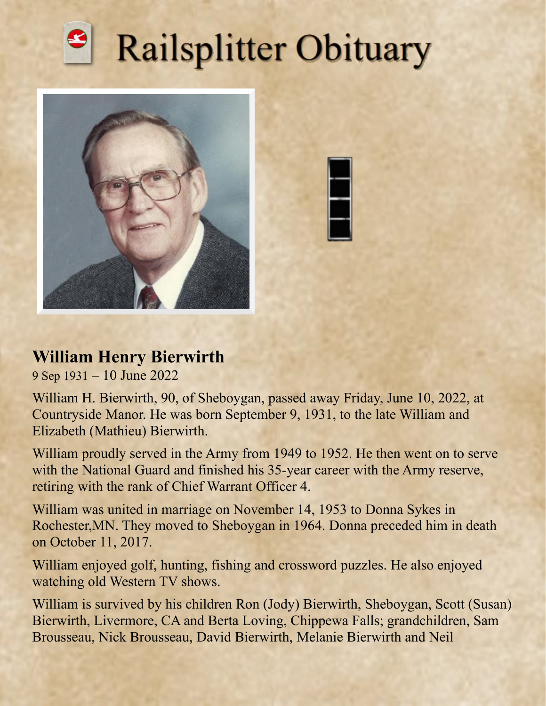## **Railsplitter Obituary**





## **William Henry Bierwirth**

9 Sep 1931 – 10 June 2022

William H. Bierwirth, 90, of Sheboygan, passed away Friday, June 10, 2022, at Countryside Manor. He was born September 9, 1931, to the late William and Elizabeth (Mathieu) Bierwirth.

William proudly served in the Army from 1949 to 1952. He then went on to serve with the National Guard and finished his 35-year career with the Army reserve, retiring with the rank of Chief Warrant Officer 4.

William was united in marriage on November 14, 1953 to Donna Sykes in Rochester,MN. They moved to Sheboygan in 1964. Donna preceded him in death on October 11, 2017.

William enjoyed golf, hunting, fishing and crossword puzzles. He also enjoyed watching old Western TV shows.

William is survived by his children Ron (Jody) Bierwirth, Sheboygan, Scott (Susan) Bierwirth, Livermore, CA and Berta Loving, Chippewa Falls; grandchildren, Sam Brousseau, Nick Brousseau, David Bierwirth, Melanie Bierwirth and Neil